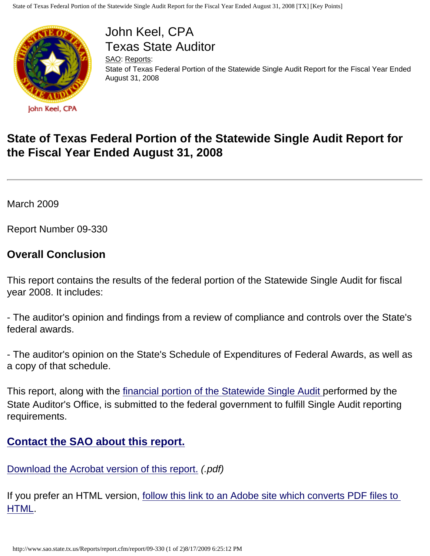

John Keel, CPA Texas State Auditor

[SAO](http://www.sao.state.tx.us/): [Reports:](http://www.sao.state.tx.us/Reports/) State of Texas Federal Portion of the Statewide Single Audit Report for the Fiscal Year Ended August 31, 2008

## **State of Texas Federal Portion of the Statewide Single Audit Report for the Fiscal Year Ended August 31, 2008**

March 2009

Report Number 09-330

## **Overall Conclusion**

This report contains the results of the federal portion of the Statewide Single Audit for fiscal year 2008. It includes:

- The auditor's opinion and findings from a review of compliance and controls over the State's federal awards.

- The auditor's opinion on the State's Schedule of Expenditures of Federal Awards, as well as a copy of that schedule.

This report, along with the [financial portion of the Statewide Single Audit](http://www.sao.state.tx.us/Reports/report.cfm/report/09-555) performed by the State Auditor's Office, is submitted to the federal government to fulfill Single Audit reporting requirements.

## **[Contact the SAO about this report.](http://www.sao.state.tx.us/Contact/mgmtart.html)**

[Download the Acrobat version of this report.](http://www.sao.state.tx.us/reports/main/09-330.pdf) *(.pdf)*

If you prefer an HTML version, [follow this link to an Adobe site which converts PDF files to](http://www.adobe.com/products/acrobat/access_onlinetools.html) [HTML](http://www.adobe.com/products/acrobat/access_onlinetools.html).